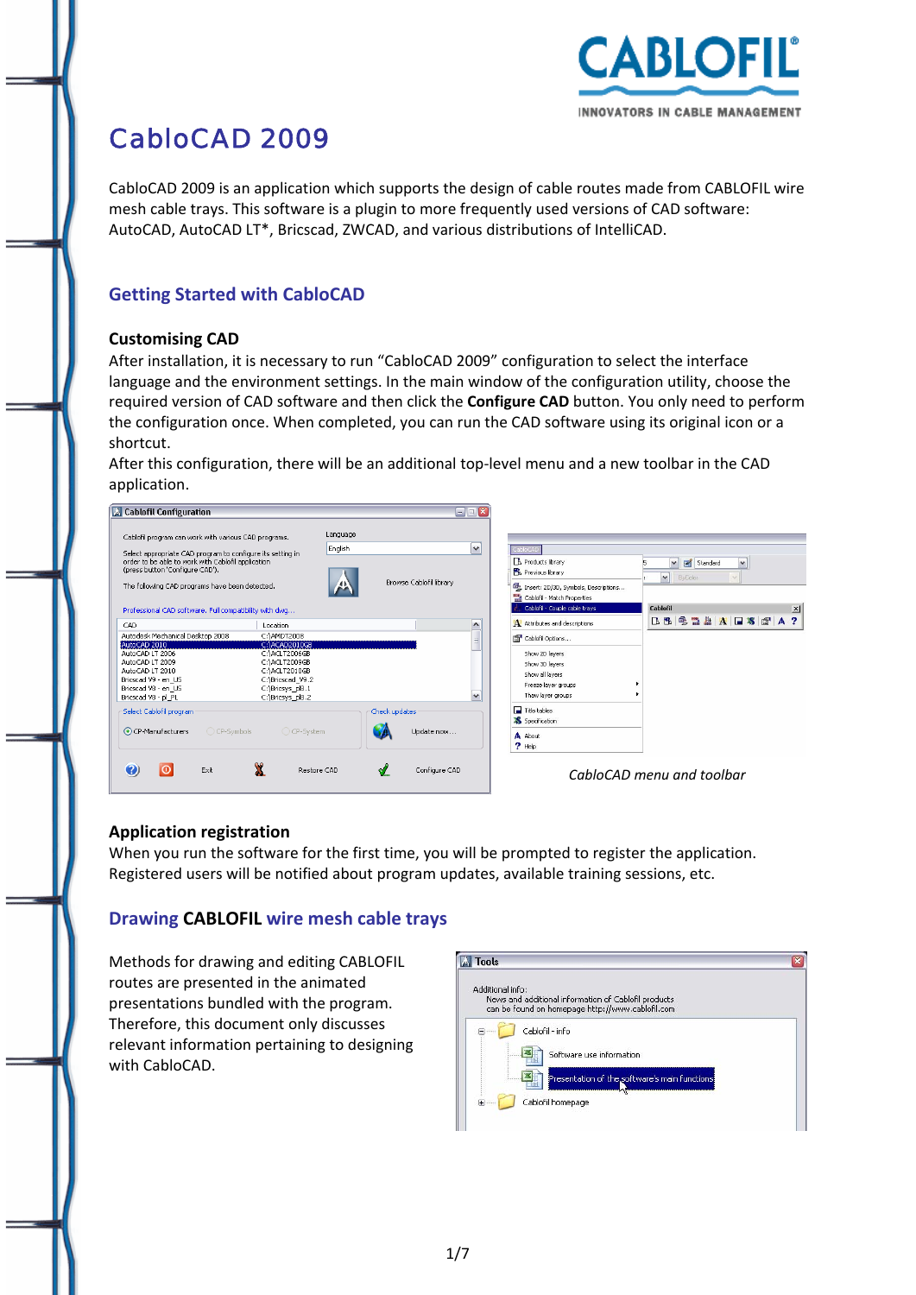

# CabloCAD 2009

CabloCAD 2009 is an application which supports the design of cable routes made from CABLOFIL wire mesh cable trays. This software is a plugin to more frequently used versions of CAD software: AutoCAD, AutoCAD LT\*, Bricscad, ZWCAD, and various distributions of IntelliCAD.

# **Getting Started with CabloCAD**

#### **Customising CAD**

After installation, it is necessary to run "CabloCAD 2009" configuration to select the interface language and the environment settings. In the main window of the configuration utility, choose the required version of CAD software and then click the **Configure CAD** button. You only need to perform the configuration once. When completed, you can run the CAD software using its original icon or a shortcut.

After this configuration, there will be an additional top‐level menu and a new toolbar in the CAD application.



#### **Application registration**

When you run the software for the first time, you will be prompted to register the application. Registered users will be notified about program updates, available training sessions, etc.

#### **Drawing CABLOFIL wire mesh cable trays**

Methods for drawing and editing CABLOFIL routes are presented in the animated presentations bundled with the program. Therefore, this document only discusses relevant information pertaining to designing with CabloCAD.

| <b>Tools</b>                                                                                                                 |  |
|------------------------------------------------------------------------------------------------------------------------------|--|
| Additional info:<br>News and additional information of Cablofil products<br>can be found on homepage http://www.cablofil.com |  |
| Cablofil - info<br>Software use information                                                                                  |  |
| Presentation of the software's main functions<br>Cablofil homepage<br><b>王……</b>                                             |  |
|                                                                                                                              |  |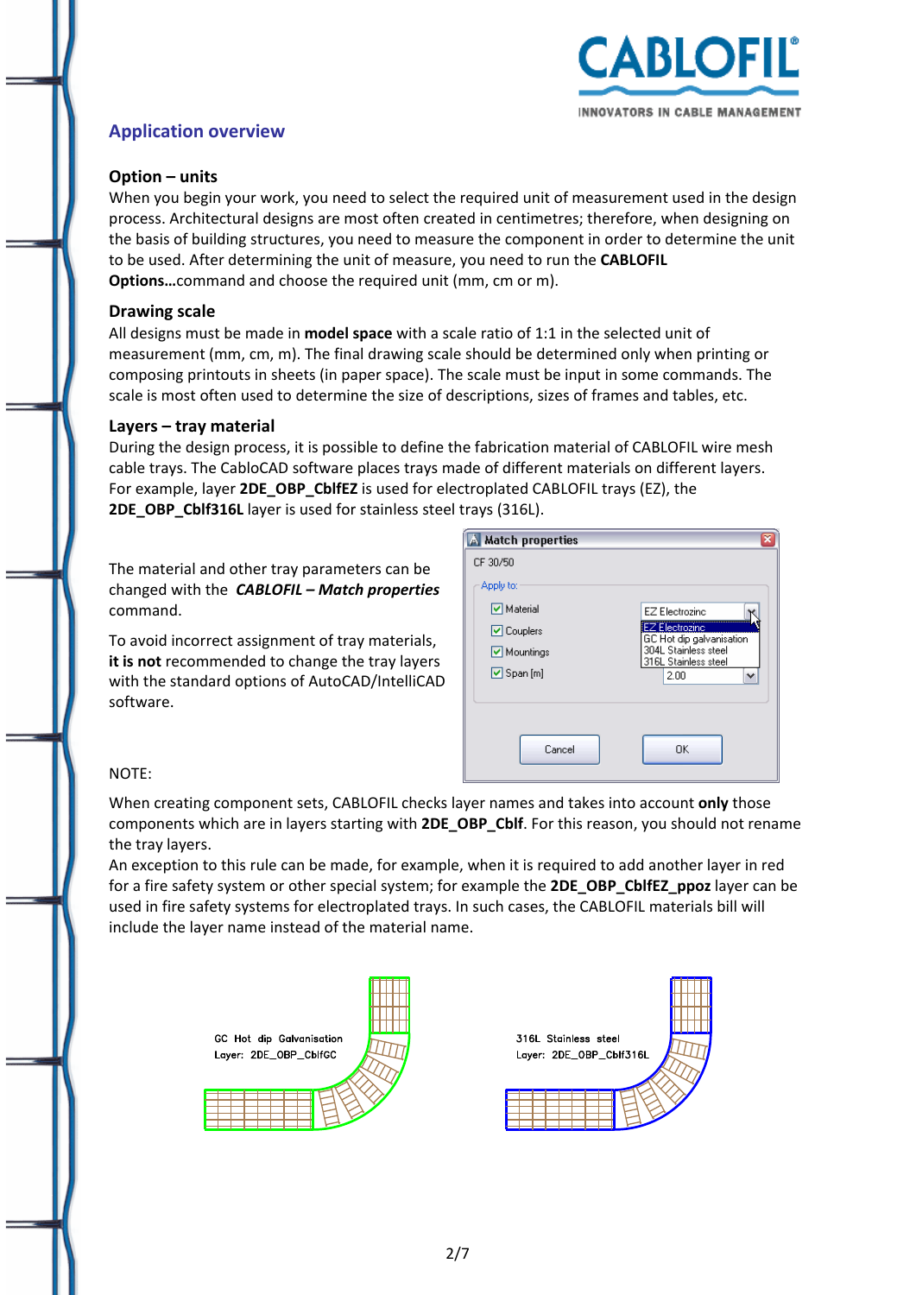

# **Application overview**

### **Option – units**

When you begin your work, you need to select the required unit of measurement used in the design process. Architectural designs are most often created in centimetres; therefore, when designing on the basis of building structures, you need to measure the component in order to determine the unit to be used. After determining the unit of measure, you need to run the **CABLOFIL Options…**command and choose the required unit (mm, cm or m).

#### **Drawing scale**

All designs must be made in **model space** with a scale ratio of 1:1 in the selected unit of measurement (mm, cm, m). The final drawing scale should be determined only when printing or composing printouts in sheets (in paper space). The scale must be input in some commands. The scale is most often used to determine the size of descriptions, sizes of frames and tables, etc.

#### **Layers – tray material**

During the design process, it is possible to define the fabrication material of CABLOFIL wire mesh cable trays. The CabloCAD software places trays made of different materials on different layers. For example, layer **2DE\_OBP\_CblfEZ** is used for electroplated CABLOFIL trays (EZ), the **2DE\_OBP\_Cblf316L** layer is used for stainless steel trays (316L).

The material and other tray parameters can be changed with the *CABLOFIL – Match properties* command.

To avoid incorrect assignment of tray materials, **it is not** recommended to change the tray layers with the standard options of AutoCAD/IntelliCAD software.

| <b>A</b> Match properties | ×                                                 |
|---------------------------|---------------------------------------------------|
| CF 30/50                  |                                                   |
| Apply to:                 |                                                   |
| <b>▽</b> Material         | EZ Electrozinc                                    |
| <b>▽</b> Couplers         | <b>EZ Electrozinc</b><br>GC Hot dip galvanisation |
| Mountings                 | 304L Stainless steel<br>316L Stainless steel      |
| $\triangledown$ Span [m]  | 2.00<br>$\checkmark$                              |
|                           |                                                   |
|                           |                                                   |
| Cancel                    | OK                                                |
|                           |                                                   |

#### NOTE:

When creating component sets, CABLOFIL checks layer names and takes into account **only** those components which are in layers starting with **2DE\_OBP\_Cblf**. For this reason, you should not rename the tray layers.

An exception to this rule can be made, for example, when it is required to add another layer in red for a fire safety system or other special system; for example the **2DE\_OBP\_CblfEZ\_ppoz** layer can be used in fire safety systems for electroplated trays. In such cases, the CABLOFIL materials bill will include the layer name instead of the material name.

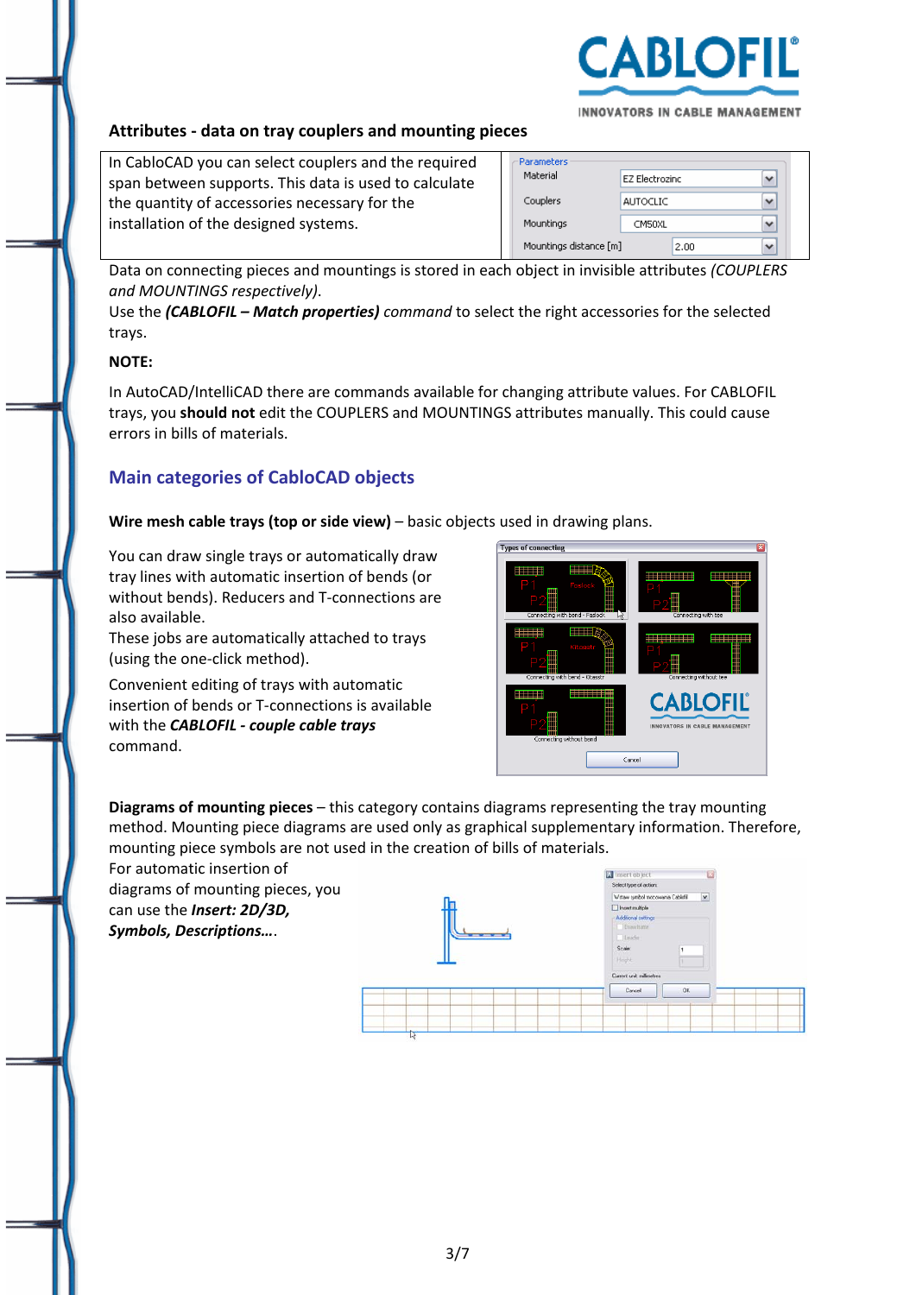

INNOVATORS IN CABLE MANAGEMENT

#### **Attributes ‐ data on tray couplers and mounting pieces**

In CabloCAD you can select couplers and the required span between supports. This data is used to calculate the quantity of accessories necessary for the installation of the designed systems.

| Parameters             |                       |  |
|------------------------|-----------------------|--|
| Material               | <b>EZ Electrozinc</b> |  |
| Couplers               | <b>AUTOCLIC</b>       |  |
| Mountings              | CM50XL                |  |
| Mountings distance [m] | 2.00                  |  |

Data on connecting pieces and mountings is stored in each object in invisible attributes *(COUPLERS and MOUNTINGS respectively)*.

Use the *(CABLOFIL – Match properties) command* to select the right accessories for the selected trays.

#### **NOTE:**

In AutoCAD/IntelliCAD there are commands available for changing attribute values. For CABLOFIL trays, you **should not** edit the COUPLERS and MOUNTINGS attributes manually. This could cause errors in bills of materials.

## **Main categories of CabloCAD objects**

**Wire mesh cable trays (top or side view)** – basic objects used in drawing plans.

You can draw single trays or automatically draw tray lines with automatic insertion of bends (or without bends). Reducers and T‐connections are also available.

These jobs are automatically attached to trays (using the one‐click method).

Convenient editing of trays with automatic insertion of bends or T‐connections is available with the *CABLOFIL ‐ couple cable trays* command.



**Diagrams of mounting pieces** – this category contains diagrams representing the tray mounting method. Mounting piece diagrams are used only as graphical supplementary information. Therefore, mounting piece symbols are not used in the creation of bills of materials.

For automatic insertion of diagrams of mounting pieces, you can use the *Insert: 2D/3D, Symbols, Descriptions…*.

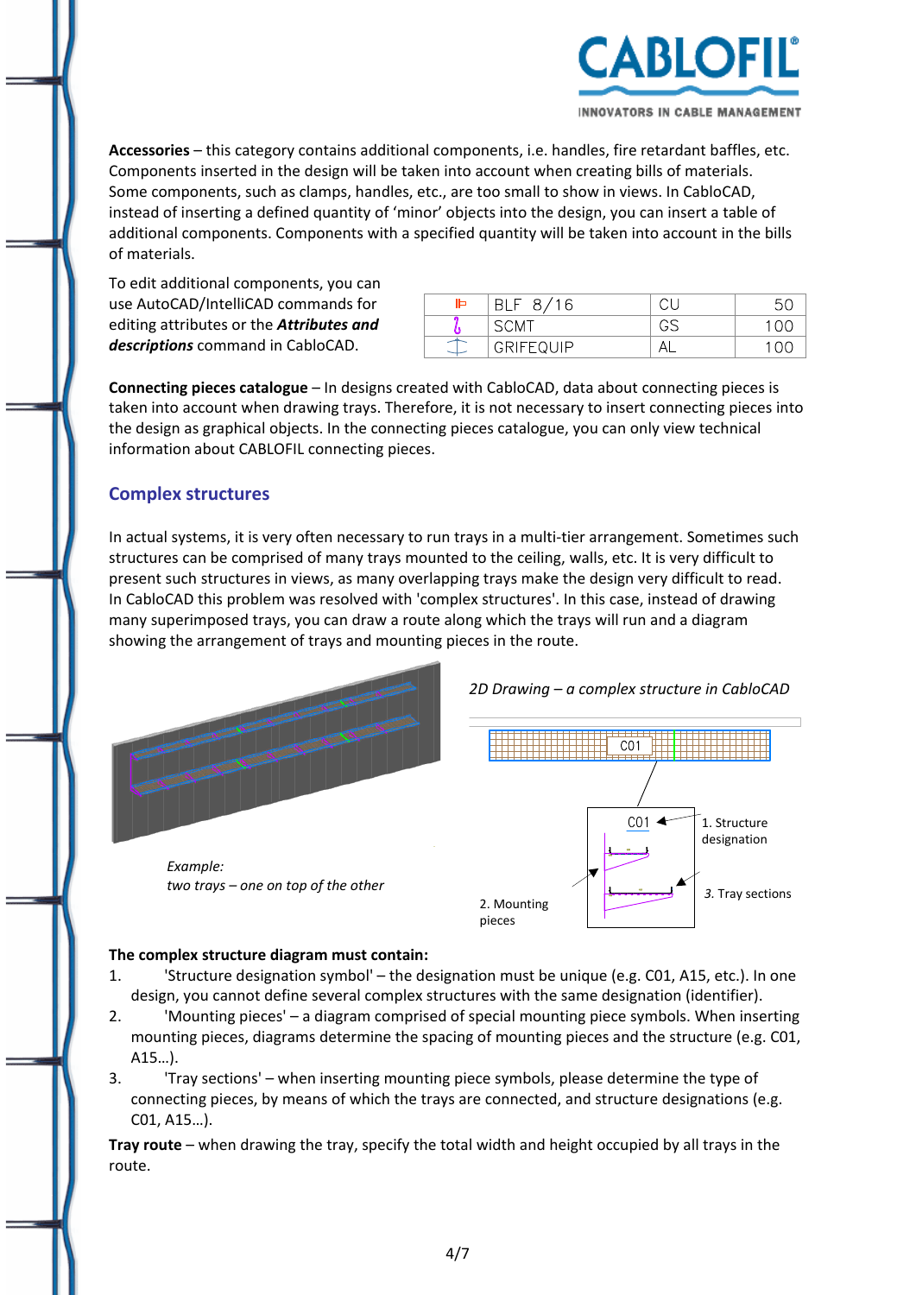

INNOVATORS IN CABLE MANAGEMENT

**Accessories** – this category contains additional components, i.e. handles, fire retardant baffles, etc. Components inserted in the design will be taken into account when creating bills of materials. Some components, such as clamps, handles, etc., are too small to show in views. In CabloCAD, instead of inserting a defined quantity of 'minor' objects into the design, you can insert a table of additional components. Components with a specified quantity will be taken into account in the bills of materials.

To edit additional components, you can use AutoCAD/IntelliCAD commands for editing attributes or the *Attributes and descriptions* command in CabloCAD.

| ⊫ | 16<br>Я<br>-BL.<br>⊢      | ∽ |
|---|---------------------------|---|
|   | SCM                       |   |
|   | <b>ILEE OL IID</b><br>GRI |   |

**Connecting pieces catalogue** – In designs created with CabloCAD, data about connecting pieces is taken into account when drawing trays. Therefore, it is not necessary to insert connecting pieces into the design as graphical objects. In the connecting pieces catalogue, you can only view technical information about CABLOFIL connecting pieces.

#### **Complex structures**

In actual systems, it is very often necessary to run trays in a multi-tier arrangement. Sometimes such structures can be comprised of many trays mounted to the ceiling, walls, etc. It is very difficult to present such structures in views, as many overlapping trays make the design very difficult to read. In CabloCAD this problem was resolved with 'complex structures'. In this case, instead of drawing many superimposed trays, you can draw a route along which the trays will run and a diagram showing the arrangement of trays and mounting pieces in the route.



#### **The complex structure diagram must contain:**

- 1. 'Structure designation symbol' the designation must be unique (e.g. C01, A15, etc.). In one design, you cannot define several complex structures with the same designation (identifier).
- 2. 'Mounting pieces' a diagram comprised of special mounting piece symbols. When inserting mounting pieces, diagrams determine the spacing of mounting pieces and the structure (e.g. C01, A15…).
- 3. 'Tray sections' when inserting mounting piece symbols, please determine the type of connecting pieces, by means of which the trays are connected, and structure designations (e.g. C01, A15…).

**Tray route** – when drawing the tray, specify the total width and height occupied by all trays in the route.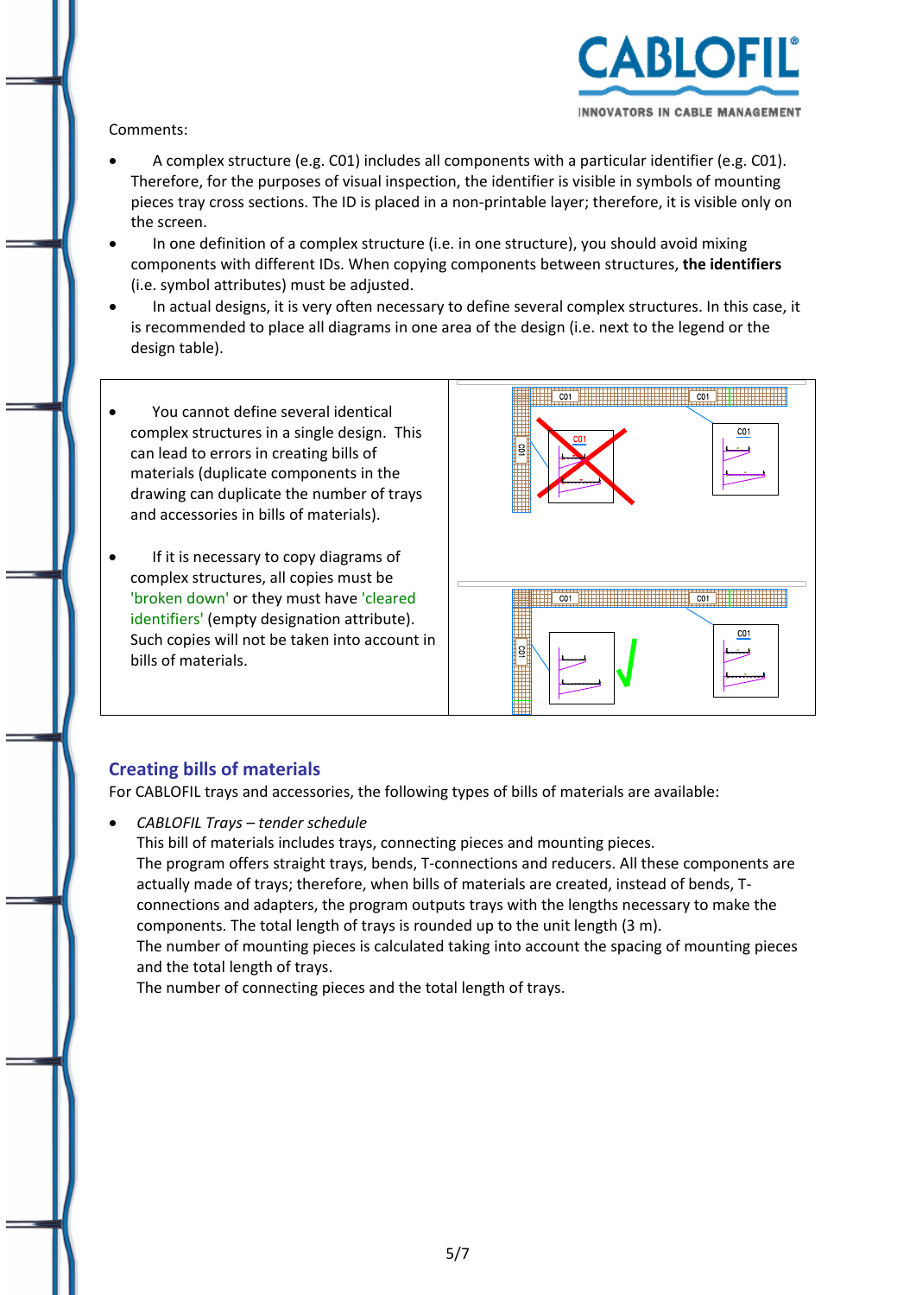

#### Comments:

- A complex structure (e.g. C01) includes all components with a particular identifier (e.g. C01). Therefore, for the purposes of visual inspection, the identifier is visible in symbols of mounting pieces tray cross sections. The ID is placed in a non‐printable layer; therefore, it is visible only on the screen.
- In one definition of a complex structure (i.e. in one structure), you should avoid mixing components with different IDs. When copying components between structures, **the identifiers** (i.e. symbol attributes) must be adjusted.
- In actual designs, it is very often necessary to define several complex structures. In this case, it is recommended to place all diagrams in one area of the design (i.e. next to the legend or the design table).
- You cannot define several identical complex structures in a single design. This can lead to errors in creating bills of materials (duplicate components in the drawing can duplicate the number of trays and accessories in bills of materials).
- If it is necessary to copy diagrams of complex structures, all copies must be 'broken down' or they must have 'cleared identifiers' (empty designation attribute). Such copies will not be taken into account in bills of materials.



# **Creating bills of materials**

For CABLOFIL trays and accessories, the following types of bills of materials are available:

• *CABLOFIL Trays – tender schedule* This bill of materials includes trays, connecting pieces and mounting pieces. The program offers straight trays, bends, T‐connections and reducers. All these components are actually made of trays; therefore, when bills of materials are created, instead of bends, T‐ connections and adapters, the program outputs trays with the lengths necessary to make the components. The total length of trays is rounded up to the unit length (3 m). The number of mounting pieces is calculated taking into account the spacing of mounting pieces and the total length of trays. The number of connecting pieces and the total length of trays.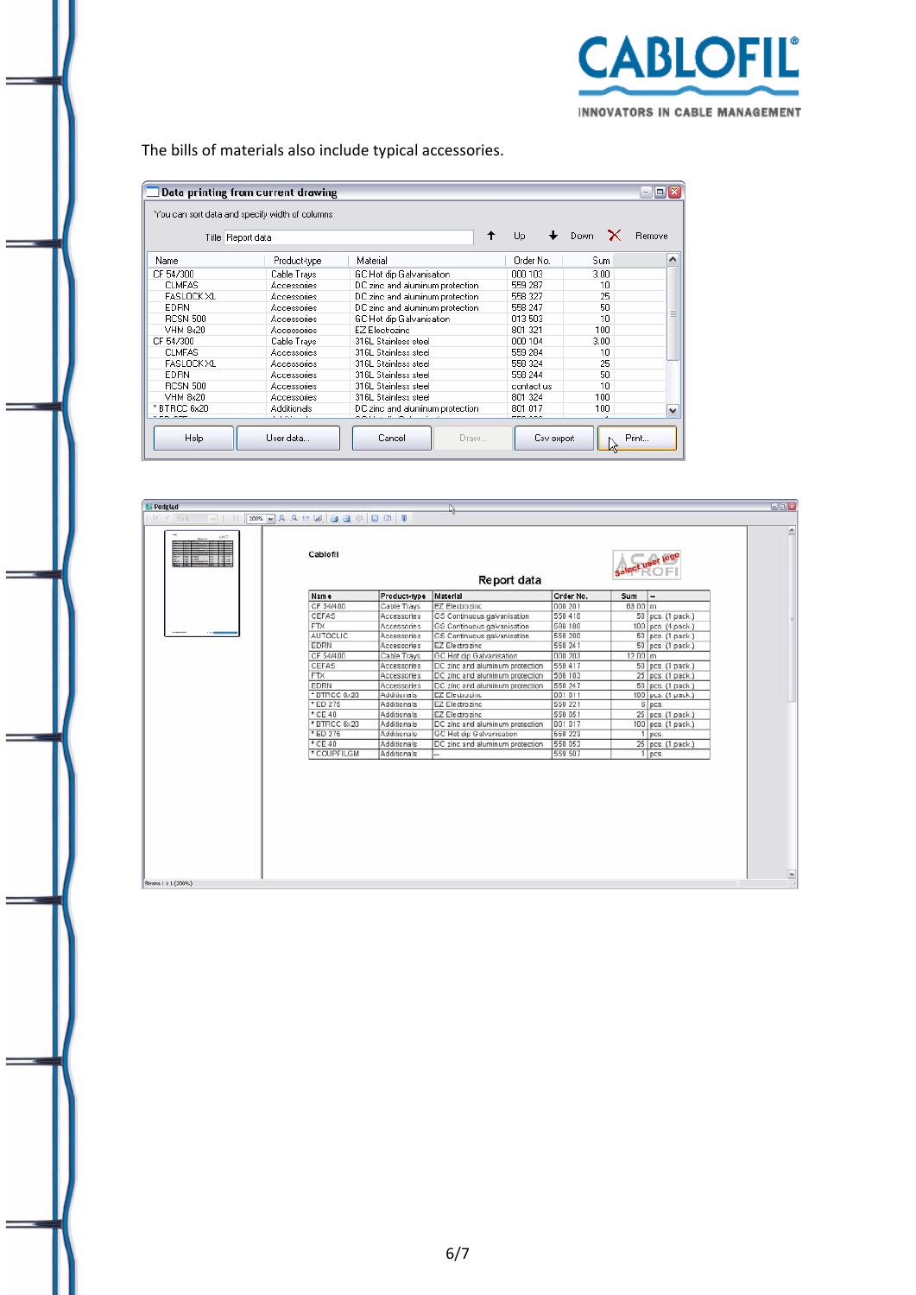

The bills of materials also include typical accessories.

|                   | Data printing from current drawing                                  |                                           |                       |           | $\boxed{0}$ X<br>۰ |
|-------------------|---------------------------------------------------------------------|-------------------------------------------|-----------------------|-----------|--------------------|
|                   | You can sort data and specify width of columns<br>Title Report data |                                           | Up                    | Down<br>x | Remove             |
| Name              | Product-type                                                        | Material                                  | Order No.             | Sum.      |                    |
| CF 54/300         | Cable Trays                                                         | GC Hot dip Galvanisation                  | 000 103               | 3.00.     |                    |
| <b>CLMFAS</b>     | Accessories                                                         | DC zinc and aluminum protection           | 559 287               | 10        |                    |
| <b>FASLOCK XL</b> | Accessories                                                         | DC zinc and aluminum protection           | 558 327               | 25        |                    |
| <b>EDRN</b>       | Accessories                                                         | DC zinc and aluminum protection           | 558 247               | 50        |                    |
| <b>RCSN 500</b>   | Accessories                                                         | GC Hot dip Galvanisation                  | 013503                | 10        | Ξ                  |
| VHM 8x20          | Accessories                                                         | EZ Electrozinc                            | 801 321               | 100       |                    |
| CF 54/300         | Cable Trays                                                         | 316L Stainless steel                      | 000 104               | 3.00.     |                    |
| <b>CLMFAS</b>     | Accessories                                                         | 316L Stainless steel                      | 559 284               | 10        |                    |
| <b>FASLOCK XL</b> | Accessories                                                         | 316L Stainless steel                      | 558 324               | 25        |                    |
| <b>EDRN</b>       | Accessories                                                         | 316L Stainless steel                      | 558 244               | 50        |                    |
| <b>RCSN 500</b>   | Accessories                                                         | 316L Stainless steel                      | contact us            | 10        |                    |
| <b>VHM 8x20</b>   | Accessories                                                         | 316L Stainless steel                      | 801 324               | 100       |                    |
| * BTRCC 6x20      | Additionals                                                         | DC zinc and aluminum protection           | 801 017               | 100       | v                  |
| Help              | <b>CONTRACT</b><br>User data                                        | -----<br>$\sim$ $\cdot$<br>Cancel<br>Draw | rro ooo<br>Csv export | ٠         | Print              |

| <b>E</b> Podgląd    |                           |              | Ľ.                              |           |              |                              | $E = x$ |
|---------------------|---------------------------|--------------|---------------------------------|-----------|--------------|------------------------------|---------|
| $V$ / 111           | 200% × A A ti 国 画 画 图 面 图 |              |                                 |           |              |                              |         |
| 6567                | Cablofil                  |              | Report data                     |           |              |                              | b.      |
|                     | Name                      | Product-type | Material                        | Order No. | Sum          |                              |         |
|                     | CF 54/400                 | Cable Trays  | EZ Electrozinc                  | 000 201   | $63.00 \, m$ |                              |         |
|                     | CEFAS                     | Accessories  | GS Continuous galvanisation     | 550 410   |              | 50 pcs. (1 pack.)            |         |
|                     | FTX                       | Accessories  | GS Continuous galvanisation     | 586 180   |              | 100 pcs. (4 pack.)           |         |
|                     | <b>AUTOCLIC</b>           | Accessories  | GS Continuous galvanisation     | 558 280   |              | $50$ $\rceil$ pcs. (1 pack.) |         |
|                     | EDRN                      | Accessories  | EZ Electrozinc                  | 550 241   |              | 50 pcs. (1 pack.)            |         |
|                     | CF 54/400                 | Cable Trays  | GC Hot dip Galvanisation        | 000 203   | $12.00$ m    |                              |         |
|                     | CEFAS                     | Accessories  | DC zinc and aluminum protection | 558 417   |              | 50 pcs. (1 pack.)            |         |
|                     | FTX                       | Accessories  | DC zinc and aluminum protection | 586 183   |              | 25 pcs. (1 pack.)            |         |
|                     | EDRN                      | Accessories  | DC zinc and aluminum protection | 558 247   |              | $50$ $ pcs.$ (1 pack.)       |         |
|                     | * DTRCC 6x20              | Additionals  | <b>EZ Electrozinc</b>           | 001 011   |              | 100 pcs. (1 pack.)           |         |
|                     | * ED 275                  | Additionals  | EZ Electrozinc                  | 558 221   |              | 6 pcs.                       |         |
|                     | $^{\circ}$ CE 40          | Additionals  | EZ Electrozinc                  | 558 051   |              | 25 pcs. (1 pack.)            |         |
|                     | * BTRCC 6x20              | Additionals  | DC zinc and aluminum protection | 801 017   |              | 100 pcs. (1 pack.)           |         |
|                     | * ED 275                  | Additionals  | GC Hot dip Galvanisation        | 558 223   |              | 1 pcs.                       |         |
|                     | * CE 40                   | Additionals  | DC zinc and aluminum protection | 558 053   |              | 25 pcs. (1 pack.)            |         |
|                     | * COUPFILGM               | Additionals  |                                 | 559 507   |              | 1 pcs.                       |         |
|                     |                           |              |                                 |           |              |                              |         |
| Strona 1 z 1 (200%) |                           |              |                                 |           |              |                              | $\sim$  |